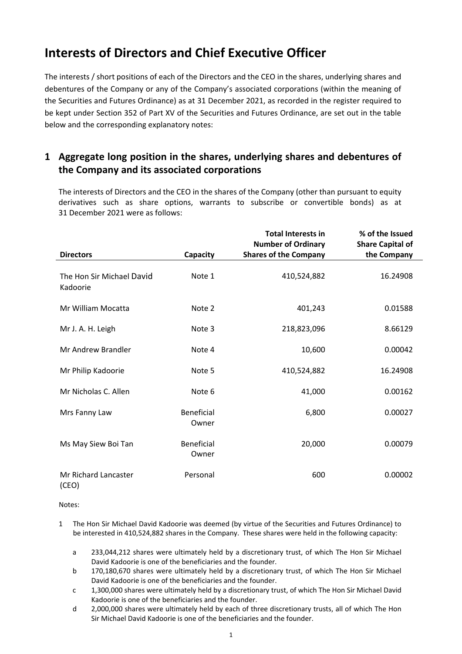## **Interests of Directors and Chief Executive Officer**

The interests / short positions of each of the Directors and the CEO in the shares, underlying shares and debentures of the Company or any of the Company's associated corporations (within the meaning of the Securities and Futures Ordinance) as at 31 December 2021, as recorded in the register required to be kept under Section 352 of Part XV of the Securities and Futures Ordinance, are set out in the table below and the corresponding explanatory notes:

## **1 Aggregate long position in the shares, underlying shares and debentures of the Company and its associated corporations**

The interests of Directors and the CEO in the shares of the Company (other than pursuant to equity derivatives such as share options, warrants to subscribe or convertible bonds) as at 31 December 2021 were as follows:

|                                       |                            | <b>Total Interests in</b>                                 | % of the Issued                        |
|---------------------------------------|----------------------------|-----------------------------------------------------------|----------------------------------------|
| <b>Directors</b>                      | Capacity                   | <b>Number of Ordinary</b><br><b>Shares of the Company</b> | <b>Share Capital of</b><br>the Company |
| The Hon Sir Michael David<br>Kadoorie | Note 1                     | 410,524,882                                               | 16.24908                               |
| Mr William Mocatta                    | Note 2                     | 401,243                                                   | 0.01588                                |
| Mr J. A. H. Leigh                     | Note 3                     | 218,823,096                                               | 8.66129                                |
| Mr Andrew Brandler                    | Note 4                     | 10,600                                                    | 0.00042                                |
| Mr Philip Kadoorie                    | Note 5                     | 410,524,882                                               | 16.24908                               |
| Mr Nicholas C. Allen                  | Note 6                     | 41,000                                                    | 0.00162                                |
| Mrs Fanny Law                         | <b>Beneficial</b><br>Owner | 6,800                                                     | 0.00027                                |
| Ms May Siew Boi Tan                   | <b>Beneficial</b><br>Owner | 20,000                                                    | 0.00079                                |
| Mr Richard Lancaster<br>(CEO)         | Personal                   | 600                                                       | 0.00002                                |

Notes:

- 1 The Hon Sir Michael David Kadoorie was deemed (by virtue of the Securities and Futures Ordinance) to be interested in 410,524,882 shares in the Company. These shares were held in the following capacity:
	- a 233,044,212 shares were ultimately held by a discretionary trust, of which The Hon Sir Michael David Kadoorie is one of the beneficiaries and the founder.
	- b 170,180,670 shares were ultimately held by a discretionary trust, of which The Hon Sir Michael David Kadoorie is one of the beneficiaries and the founder.
	- c 1,300,000 shares were ultimately held by a discretionary trust, of which The Hon Sir Michael David Kadoorie is one of the beneficiaries and the founder.
	- d 2,000,000 shares were ultimately held by each of three discretionary trusts, all of which The Hon Sir Michael David Kadoorie is one of the beneficiaries and the founder.